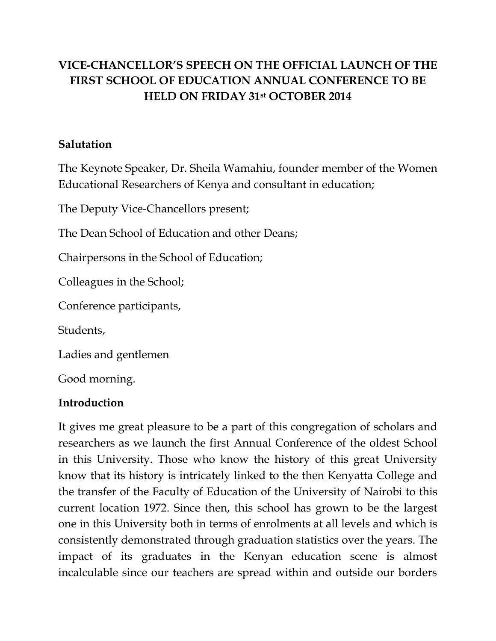# **VICE-CHANCELLOR'S SPEECH ON THE OFFICIAL LAUNCH OF THE FIRST SCHOOL OF EDUCATION ANNUAL CONFERENCE TO BE HELD ON FRIDAY 31st OCTOBER 2014**

### **Salutation**

The Keynote Speaker, Dr. Sheila Wamahiu, founder member of the Women Educational Researchers of Kenya and consultant in education;

The Deputy Vice-Chancellors present;

The Dean School of Education and other Deans;

Chairpersons in the School of Education;

Colleagues in the School;

Conference participants,

Students,

Ladies and gentlemen

Good morning.

#### **Introduction**

It gives me great pleasure to be a part of this congregation of scholars and researchers as we launch the first Annual Conference of the oldest School in this University. Those who know the history of this great University know that its history is intricately linked to the then Kenyatta College and the transfer of the Faculty of Education of the University of Nairobi to this current location 1972. Since then, this school has grown to be the largest one in this University both in terms of enrolments at all levels and which is consistently demonstrated through graduation statistics over the years. The impact of its graduates in the Kenyan education scene is almost incalculable since our teachers are spread within and outside our borders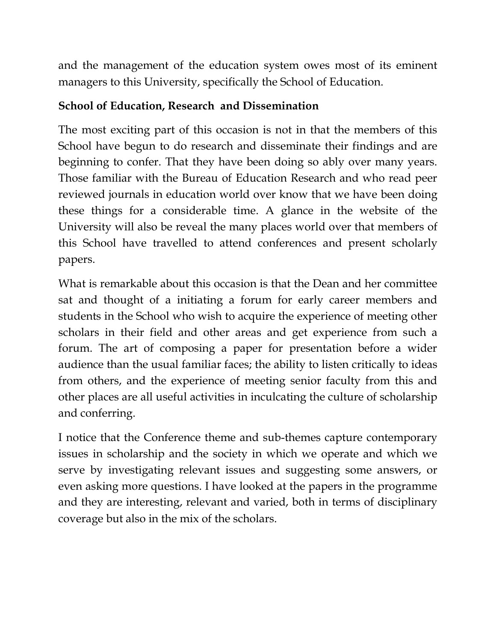and the management of the education system owes most of its eminent managers to this University, specifically the School of Education.

# **School of Education, Research and Dissemination**

The most exciting part of this occasion is not in that the members of this School have begun to do research and disseminate their findings and are beginning to confer. That they have been doing so ably over many years. Those familiar with the Bureau of Education Research and who read peer reviewed journals in education world over know that we have been doing these things for a considerable time. A glance in the website of the University will also be reveal the many places world over that members of this School have travelled to attend conferences and present scholarly papers.

What is remarkable about this occasion is that the Dean and her committee sat and thought of a initiating a forum for early career members and students in the School who wish to acquire the experience of meeting other scholars in their field and other areas and get experience from such a forum. The art of composing a paper for presentation before a wider audience than the usual familiar faces; the ability to listen critically to ideas from others, and the experience of meeting senior faculty from this and other places are all useful activities in inculcating the culture of scholarship and conferring.

I notice that the Conference theme and sub-themes capture contemporary issues in scholarship and the society in which we operate and which we serve by investigating relevant issues and suggesting some answers, or even asking more questions. I have looked at the papers in the programme and they are interesting, relevant and varied, both in terms of disciplinary coverage but also in the mix of the scholars.